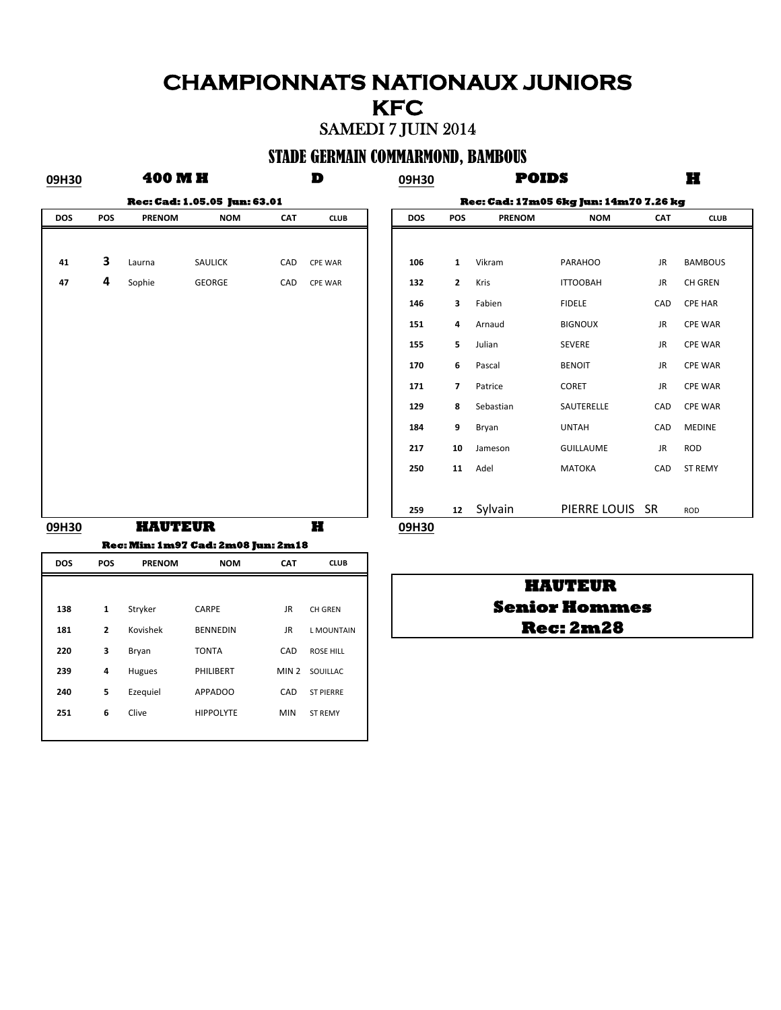# **CHAMPIONNATS NATIONAUX JUNIORS KFC**

### SAMEDI 7 JUIN 2014

### STADE GERMAIN COMMARMOND, BAMBOUS

**400 M H** 

**09H30 D 09H30 H**

**POIDS**

| <b>Rec: Cad: 1.05.05 Jun: 63.01</b> |     |                |               |     |                |  |       |  |  |  |
|-------------------------------------|-----|----------------|---------------|-----|----------------|--|-------|--|--|--|
| DOS                                 | POS | <b>PRENOM</b>  | <b>NOM</b>    | CAT | <b>CLUB</b>    |  | DOS   |  |  |  |
|                                     |     |                |               |     |                |  |       |  |  |  |
| 41                                  | 3   | Laurna         | SAULICK       | CAD | CPE WAR        |  | 106   |  |  |  |
| 47                                  | 4   | Sophie         | <b>GEORGE</b> | CAD | <b>CPE WAR</b> |  | 132   |  |  |  |
|                                     |     |                |               |     |                |  | 146   |  |  |  |
|                                     |     |                |               |     |                |  | 151   |  |  |  |
|                                     |     |                |               |     |                |  | 155   |  |  |  |
|                                     |     |                |               |     |                |  | 170   |  |  |  |
|                                     |     |                |               |     |                |  | 171   |  |  |  |
|                                     |     |                |               |     |                |  | 129   |  |  |  |
|                                     |     |                |               |     |                |  | 184   |  |  |  |
|                                     |     |                |               |     |                |  | 217   |  |  |  |
|                                     |     |                |               |     |                |  | 250   |  |  |  |
|                                     |     |                |               |     |                |  |       |  |  |  |
|                                     |     |                |               |     |                |  | 259   |  |  |  |
| 09H30                               |     | <b>HAUTEUR</b> |               |     | H              |  | 09H30 |  |  |  |

|     | <b>Rec: Cad: 1.05.05 Jun: 63.01</b> |               |            |     |                |  |
|-----|-------------------------------------|---------------|------------|-----|----------------|--|
| DOS | POS                                 | <b>PRENOM</b> | <b>NOM</b> | CAT | <b>CLUB</b>    |  |
|     |                                     |               |            |     |                |  |
| 41  | 3                                   | Laurna        | SAULICK    | CAD | <b>CPE WAR</b> |  |
| 47  | 4                                   | Sophie        | GEORGE     | CAD | <b>CPE WAR</b> |  |
|     |                                     |               |            |     |                |  |
|     |                                     |               |            |     |                |  |
|     |                                     |               |            |     |                |  |
|     |                                     |               |            |     |                |  |
|     |                                     |               |            |     |                |  |
|     |                                     |               |            |     |                |  |
|     |                                     |               |            |     |                |  |
|     |                                     |               |            |     |                |  |
|     |                                     |               |            |     |                |  |
|     |                                     |               |            |     |                |  |
|     |                                     |               |            |     |                |  |

# **DOS POS PRENOM NOM CAT CLUB** 138 1 Stryker CARPE JR CH GREN 181 **2** Kovishek BENNEDIN JR LMOUNTAIN **220 3** Bryan **TONTA CAD** ROSE HILL **239 4 Hugues PHILIBERT MIN 2 SOUILLAC 240 5** Ezequiel **APPADOO** CAD ST PIERRE **251 6** Clive **HIPPOLYTE** MIN STREMY **Rec: Min: 1m97 Cad: 2m08 Jun: 2m18**

### **Rec: 2m28 Senior Hommes HAUTEUR**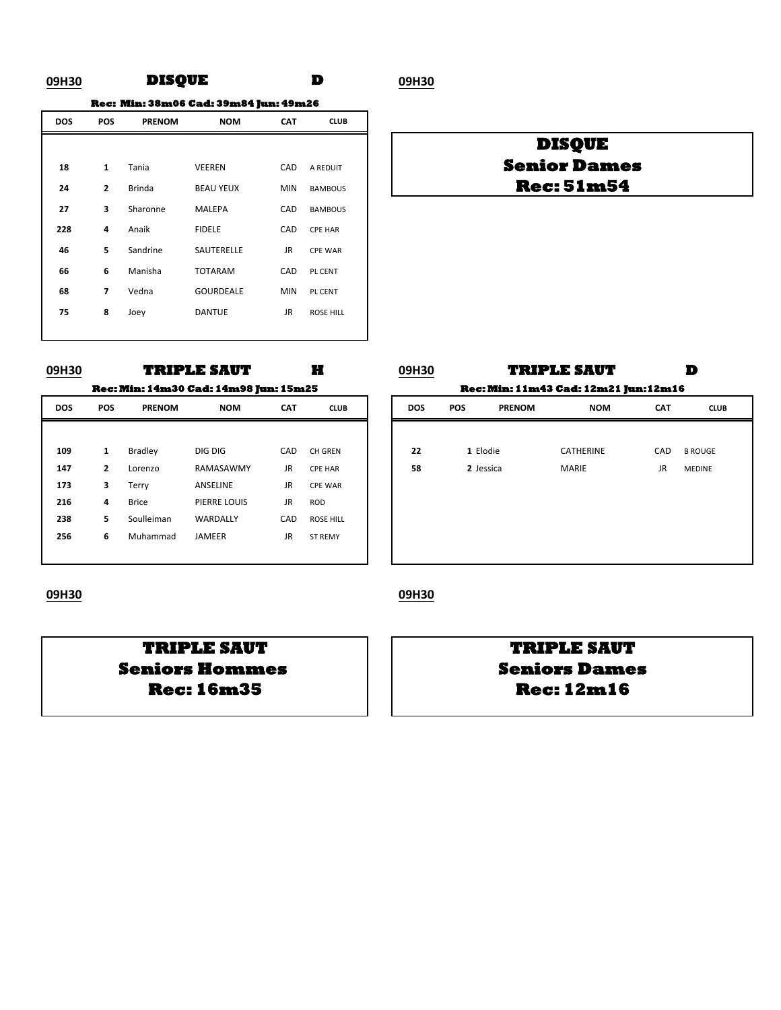### **09H30 D 09H30 DISQUE**

**Rec: Min: 38m06 Cad: 39m84 Jun: 49m26**

| <b>DOS</b> | <b>POS</b>               | <b>PRENOM</b> | <b>NOM</b>       | <b>CAT</b> | <b>CLUB</b>      |
|------------|--------------------------|---------------|------------------|------------|------------------|
|            |                          |               |                  |            |                  |
| 18         | 1                        | Tania         | <b>VEEREN</b>    | CAD        | A REDUIT         |
| 24         | $\overline{2}$           | <b>Brinda</b> | <b>BEAU YEUX</b> | <b>MIN</b> | <b>BAMBOUS</b>   |
| 27         | 3                        | Sharonne      | <b>MALEPA</b>    | CAD        | <b>BAMBOUS</b>   |
| 228        | 4                        | Anaik         | <b>FIDELE</b>    | CAD        | <b>CPE HAR</b>   |
| 46         | 5                        | Sandrine      | SAUTERELLE       | <b>JR</b>  | <b>CPE WAR</b>   |
| 66         | 6                        | Manisha       | <b>TOTARAM</b>   | CAD        | PL CENT          |
| 68         | $\overline{\phantom{a}}$ | Vedna         | <b>GOURDEALE</b> | <b>MIN</b> | PL CENT          |
| 75         | 8                        | Joey          | <b>DANTUE</b>    | JR         | <b>ROSE HILL</b> |
|            |                          |               |                  |            |                  |

### **Rec: 51m54 Senior Dames DISQUE**

| <b>UYH3U</b> |              |               | TRIPLE DAVI                                  |            | . .              | <b>UYH3U</b> |            |               | TRIFLL DAVT                                 |            |
|--------------|--------------|---------------|----------------------------------------------|------------|------------------|--------------|------------|---------------|---------------------------------------------|------------|
|              |              |               | <b>Rec: Min: 14m30 Cad: 14m98 Jun: 15m25</b> |            |                  |              |            |               | <b>Rec: Min: 11m43 Cad: 12m21 Jun:12m16</b> |            |
| <b>DOS</b>   | <b>POS</b>   | <b>PRENOM</b> | <b>NOM</b>                                   | <b>CAT</b> | <b>CLUB</b>      | <b>DOS</b>   | <b>POS</b> | <b>PRENOM</b> | <b>NOM</b>                                  | <b>CAT</b> |
|              |              |               |                                              |            |                  |              |            |               |                                             |            |
| 109          | 1            | Bradley       | DIG DIG                                      | CAD        | CH GREN          | 22           |            | 1 Elodie      | <b>CATHERINE</b>                            | CAD        |
| 147          | $\mathbf{2}$ | Lorenzo       | RAMASAWMY                                    | <b>JR</b>  | <b>CPE HAR</b>   | 58           |            | 2 Jessica     | <b>MARIE</b>                                | <b>JR</b>  |
| 173          | 3            | Terry         | ANSELINE                                     | <b>JR</b>  | <b>CPE WAR</b>   |              |            |               |                                             |            |
| 216          | 4            | <b>Brice</b>  | PIERRE LOUIS                                 | <b>JR</b>  | <b>ROD</b>       |              |            |               |                                             |            |
| 238          | 5            | Soulleiman    | WARDALLY                                     | CAD        | <b>ROSE HILL</b> |              |            |               |                                             |            |
| 256          | 6            | Muhammad      | <b>JAMEER</b>                                | <b>JR</b>  | <b>ST REMY</b>   |              |            |               |                                             |            |

| 09H30      |                                              | <b>TRIPLE SAUT</b> |            |     |      |  | 09H30      |     | <b>TRIPLE SAUT</b>                          |            | D          |
|------------|----------------------------------------------|--------------------|------------|-----|------|--|------------|-----|---------------------------------------------|------------|------------|
|            | <b>Rec: Min: 14m30 Cad: 14m98 Jun: 15m25</b> |                    |            |     |      |  |            |     | <b>Rec: Min: 11m43 Cad: 12m21 Jun:12m16</b> |            |            |
| <b>DOS</b> | <b>POS</b>                                   | <b>PRENOM</b>      | <b>NOM</b> | CAT | CLUB |  | <b>DOS</b> | POS | <b>PRENOM</b>                               | <b>NOM</b> | <b>CAT</b> |

| Bradley      | DIG DIG      | CAD |                  |    |           |           |     |                |
|--------------|--------------|-----|------------------|----|-----------|-----------|-----|----------------|
|              |              |     |                  |    |           |           |     |                |
|              |              |     | CH GREN          | 22 | 1 Elodie  | CATHERINE | CAD | <b>B ROUGE</b> |
| Lorenzo      | RAMASAWMY    | JR  | CPE HAR          | 58 | 2 Jessica | MARIE     | JR  | MEDINE         |
| Terry        | ANSELINE     | JR  | <b>CPE WAR</b>   |    |           |           |     |                |
| <b>Brice</b> | PIERRE LOUIS | JR  | ROD              |    |           |           |     |                |
| Soulleiman   | WARDALLY     | CAD | <b>ROSE HILL</b> |    |           |           |     |                |
| Muhammad     | JAMEER       | JR  | ST REMY          |    |           |           |     |                |
|              |              |     |                  |    |           |           |     |                |
|              |              |     |                  |    |           |           |     |                |

### **09H30 09H30**

**Rec: 16m35 Rec: 12m16 Seniors Hommes**  $\vert$   $\vert$  **Seniors Dames** 

# **TRIPLE SAUT TRIPLE SAUT**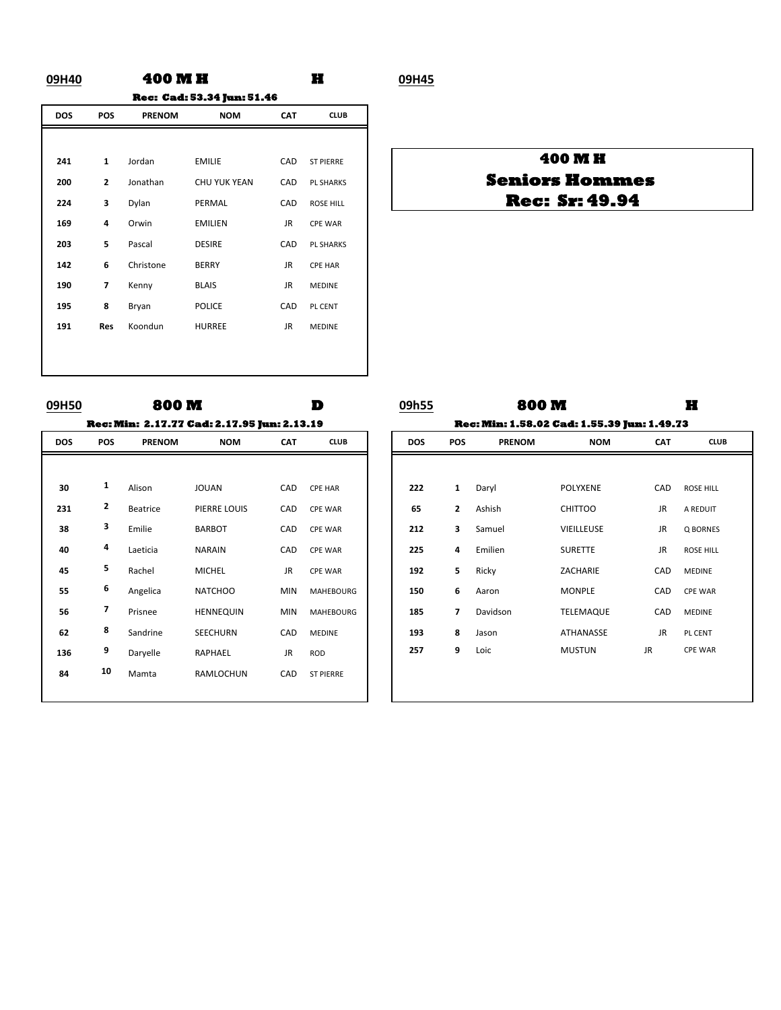### **09H40 H 09H45 400 M H Rec: Cad: 53.34 Jun: 51.46**

| <b>DOS</b> | POS            | <b>PRENOM</b> | <b>NOM</b>          | <b>CAT</b> | <b>CLUB</b>      |
|------------|----------------|---------------|---------------------|------------|------------------|
|            |                |               |                     |            |                  |
| 241        | $\mathbf{1}$   | Jordan        | <b>EMILIE</b>       | CAD        | <b>ST PIERRE</b> |
| 200        | $\overline{2}$ | Jonathan      | <b>CHU YUK YEAN</b> | CAD        | <b>PL SHARKS</b> |
| 224        | 3              | Dylan         | PERMAL              | CAD        | <b>ROSE HILL</b> |
| 169        | 4              | Orwin         | <b>EMILIEN</b>      | JR.        | <b>CPE WAR</b>   |
| 203        | 5              | Pascal        | <b>DESIRE</b>       | CAD        | <b>PL SHARKS</b> |
| 142        | 6              | Christone     | <b>BERRY</b>        | JR.        | <b>CPE HAR</b>   |
| 190        | 7              | Kenny         | <b>BLAIS</b>        | JR.        | <b>MEDINE</b>    |
| 195        | 8              | Bryan         | <b>POLICE</b>       | CAD        | PL CENT          |
| 191        | <b>Res</b>     | Koondun       | <b>HURREE</b>       | JR.        | <b>MEDINE</b>    |
|            |                |               |                     |            |                  |
|            |                |               |                     |            |                  |

### **400 M H Rec: Sr: 49.94 Seniors Hommes**

| บฯทวบ      |            | OUU IVI       |                                                    |            | ш,               |
|------------|------------|---------------|----------------------------------------------------|------------|------------------|
|            |            |               | <b>Rec: Min: 2.17.77 Cad: 2.17.95 Jun: 2.13.19</b> |            |                  |
| <b>DOS</b> | <b>POS</b> | <b>PRENOM</b> | <b>NOM</b>                                         | <b>CAT</b> | <b>CLUB</b>      |
|            |            |               |                                                    |            |                  |
| 30         | 1          | Alison        | <b>JOUAN</b>                                       | CAD        | <b>CPE HAR</b>   |
| 231        | 2          | Beatrice      | PIERRE LOUIS                                       | CAD        | <b>CPE WAR</b>   |
| 38         | 3          | Emilie        | <b>BARBOT</b>                                      | CAD        | <b>CPE WAR</b>   |
| 40         | 4          | Laeticia      | <b>NARAIN</b>                                      | CAD        | <b>CPE WAR</b>   |
| 45         | 5          | Rachel        | <b>MICHEL</b>                                      | JR.        | <b>CPE WAR</b>   |
| 55         | 6          | Angelica      | <b>NATCHOO</b>                                     | <b>MIN</b> | <b>MAHEBOURG</b> |
| 56         | 7          | Prisnee       | <b>HENNEQUIN</b>                                   | <b>MIN</b> | <b>MAHEBOURG</b> |
| 62         | 8          | Sandrine      | <b>SEECHURN</b>                                    | CAD        | <b>MEDINE</b>    |
| 136        | 9          | Daryelle      | RAPHAEL                                            | JR.        | <b>ROD</b>       |
| 84         | 10         | Mamta         | RAMLOCHUN                                          | CAD        | <b>ST PIERRE</b> |

| 09H50      |            | 800M          |                                                    |            | D                | 09h55      |                                                    | 800M          |                   |            |                  |  |  |
|------------|------------|---------------|----------------------------------------------------|------------|------------------|------------|----------------------------------------------------|---------------|-------------------|------------|------------------|--|--|
|            |            |               | <b>Rec: Min: 2.17.77 Cad: 2.17.95 Jun: 2.13.19</b> |            |                  |            | <b>Rec: Min: 1.58.02 Cad: 1.55.39 Jun: 1.49.73</b> |               |                   |            |                  |  |  |
| <b>DOS</b> | <b>POS</b> | <b>PRENOM</b> | <b>NOM</b>                                         | <b>CAT</b> | <b>CLUB</b>      | <b>DOS</b> | <b>POS</b>                                         | <b>PRENOM</b> | <b>NOM</b>        | <b>CAT</b> |                  |  |  |
|            |            |               |                                                    |            |                  |            |                                                    |               |                   |            |                  |  |  |
| 30         | 1          | Alison        | <b>JOUAN</b>                                       | CAD        | <b>CPE HAR</b>   | 222        | $\mathbf{1}$                                       | Daryl         | <b>POLYXENE</b>   | CAD        | <b>ROSE HILL</b> |  |  |
| 231        | 2          | Beatrice      | PIERRE LOUIS                                       | CAD        | <b>CPE WAR</b>   | 65         | $\mathbf{z}$                                       | Ashish        | <b>CHITTOO</b>    | <b>JR</b>  | A REDUIT         |  |  |
| 38         | 3          | Emilie        | <b>BARBOT</b>                                      | CAD        | <b>CPE WAR</b>   | 212        | 3                                                  | Samuel        | <b>VIEILLEUSE</b> | JR         | Q BORNES         |  |  |
| 40         | 4          | Laeticia      | <b>NARAIN</b>                                      | CAD        | <b>CPE WAR</b>   | 225        | 4                                                  | Emilien       | <b>SURETTE</b>    | <b>JR</b>  | <b>ROSE HILL</b> |  |  |
| 45         | 5          | Rachel        | <b>MICHEL</b>                                      | JR.        | <b>CPE WAR</b>   | 192        | 5                                                  | Ricky         | ZACHARIE          | CAD        | <b>MEDINE</b>    |  |  |
| 55         | 6          | Angelica      | <b>NATCHOO</b>                                     | <b>MIN</b> | <b>MAHEBOURG</b> | 150        | 6                                                  | Aaron         | <b>MONPLE</b>     | CAD        | <b>CPE WAR</b>   |  |  |
| 56         | 7          | Prisnee       | <b>HENNEQUIN</b>                                   | <b>MIN</b> | <b>MAHEBOURG</b> | 185        | 7                                                  | Davidson      | <b>TELEMAQUE</b>  | CAD        | <b>MEDINE</b>    |  |  |
| 62         | 8          | Sandrine      | SEECHURN                                           | CAD        | <b>MEDINE</b>    | 193        | 8                                                  | Jason         | ATHANASSE         | <b>JR</b>  | PL CENT          |  |  |
| 136        | 9          | Daryelle      | RAPHAEL                                            | JR.        | <b>ROD</b>       | 257        | 9                                                  | Loic          | <b>MUSTUN</b>     | <b>JR</b>  | <b>CPE WAR</b>   |  |  |
| 84         | 10         | Mamta         | RAMLOCHUN                                          | CAD        | <b>ST PIERRE</b> |            |                                                    |               |                   |            |                  |  |  |
|            |            |               |                                                    |            |                  |            |                                                    |               |                   |            |                  |  |  |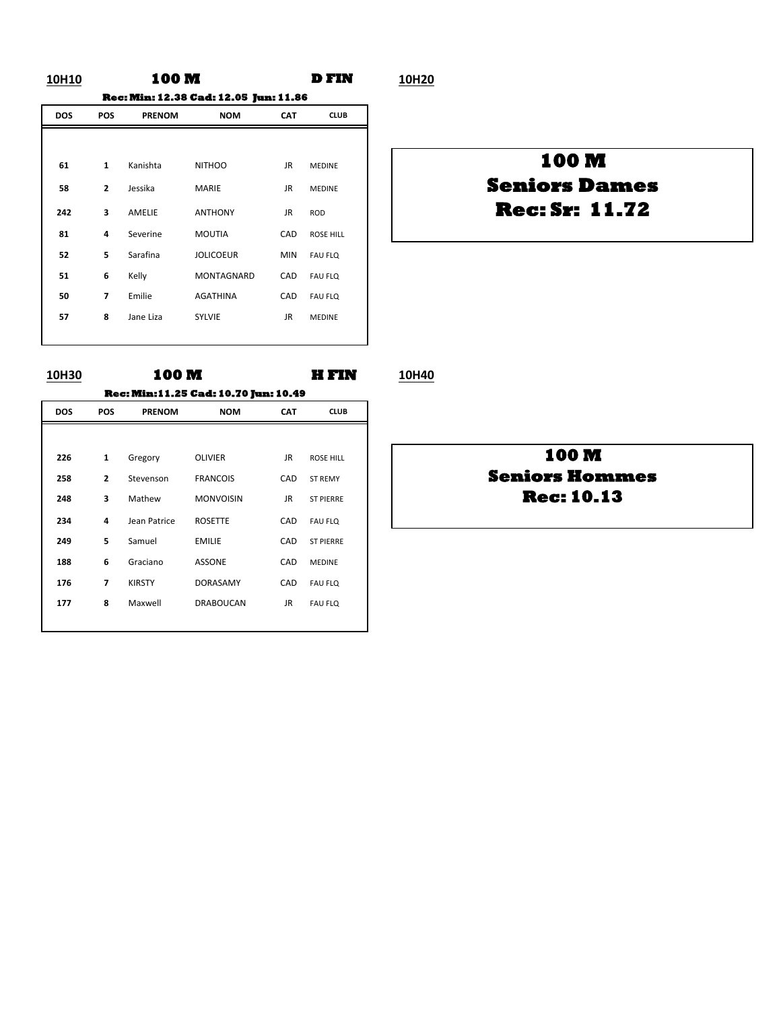### **10H10 D FIN 10H20 100 M Rec: Min: 12.38 Cad: 12.05 Jun: 11.86**

| <b>DOS</b> | <b>POS</b>               | <b>PRENOM</b> | <b>NOM</b>        | <b>CAT</b> | <b>CLUB</b>      |
|------------|--------------------------|---------------|-------------------|------------|------------------|
|            |                          |               |                   |            |                  |
| 61         | $\mathbf{1}$             | Kanishta      | <b>NITHOO</b>     | JR.        | <b>MEDINE</b>    |
| 58         | $\overline{2}$           | Jessika       | <b>MARIE</b>      | JR.        | <b>MEDINE</b>    |
| 242        | 3                        | AMELIE        | <b>ANTHONY</b>    | JR.        | <b>ROD</b>       |
| 81         | 4                        | Severine      | <b>MOUTIA</b>     | CAD        | <b>ROSE HILL</b> |
| 52         | 5                        | Sarafina      | <b>JOLICOEUR</b>  | <b>MIN</b> | <b>FAU FLQ</b>   |
| 51         | 6                        | Kelly         | <b>MONTAGNARD</b> | CAD        | <b>FAU FLQ</b>   |
| 50         | $\overline{\phantom{a}}$ | Emilie        | <b>AGATHINA</b>   | CAD        | <b>FAU FLQ</b>   |
| 57         | 8                        | Jane Liza     | <b>SYLVIE</b>     | JR         | <b>MEDINE</b>    |
|            |                          |               |                   |            |                  |

# **Rec: Sr: 11.72 Seniors Dames 100 M**

**10H30 100 M H FIN 10H40 100 M Rec: Min:11.25 Cad: 10.70 Jun: 10.49**

|            |                          |               | ACC: MIII: 1 1.69 CAU: 17.17 JUII: 17.79 |            |                  |
|------------|--------------------------|---------------|------------------------------------------|------------|------------------|
| <b>DOS</b> | <b>POS</b>               | <b>PRENOM</b> | <b>NOM</b>                               | <b>CAT</b> | <b>CLUB</b>      |
|            |                          |               |                                          |            |                  |
| 226        | $\mathbf{1}$             | Gregory       | <b>OLIVIER</b>                           | JR.        | <b>ROSE HILL</b> |
| 258        | $\overline{2}$           | Stevenson     | <b>FRANCOIS</b>                          | CAD        | <b>ST REMY</b>   |
| 248        | 3                        | Mathew        | <b>MONVOISIN</b>                         | JR.        | <b>ST PIERRE</b> |
| 234        | 4                        | Jean Patrice  | <b>ROSETTE</b>                           | CAD        | <b>FAU FLQ</b>   |
| 249        | 5                        | Samuel        | <b>EMILIE</b>                            | CAD        | <b>ST PIERRE</b> |
| 188        | 6                        | Graciano      | <b>ASSONE</b>                            | CAD        | <b>MEDINE</b>    |
| 176        | $\overline{\phantom{a}}$ | <b>KIRSTY</b> | <b>DORASAMY</b>                          | CAD        | <b>FAU FLQ</b>   |
| 177        | 8                        | Maxwell       | <b>DRABOUCAN</b>                         | JR         | <b>FAU FLQ</b>   |
|            |                          |               |                                          |            |                  |

### **100 M Seniors Hommes Rec: 10.13**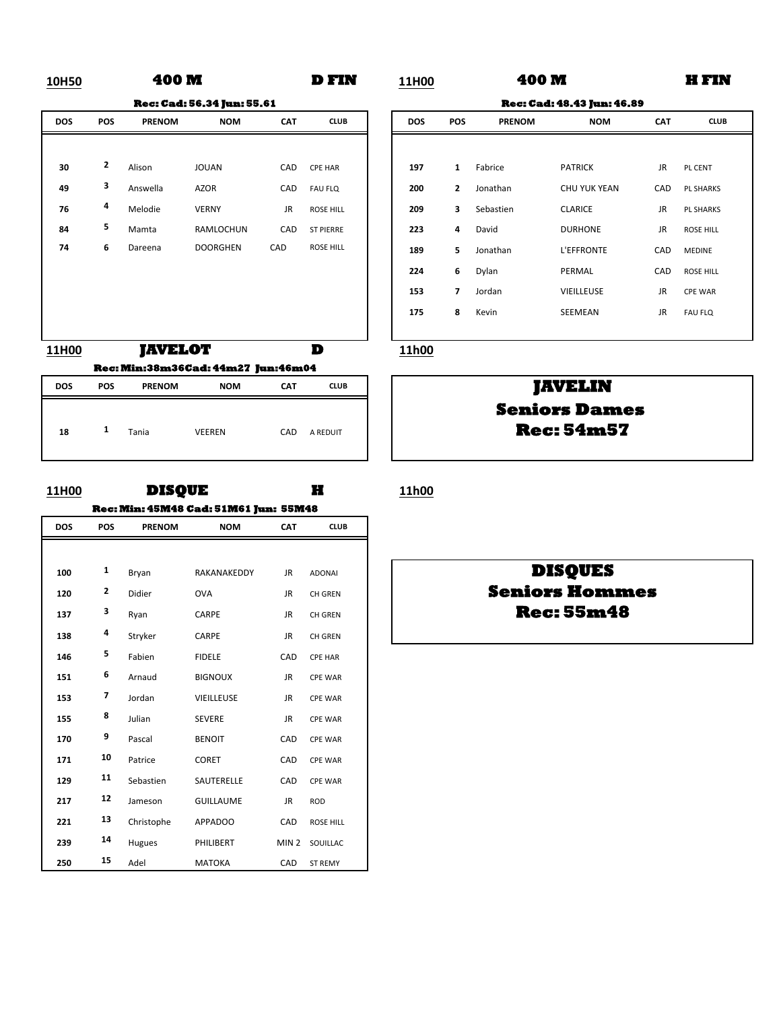### **10H50 D FIN 11H00 H FIN 400 M**

**Rec: Cad: 56.34 Jun: 55.61**

**11H00 D 11h00 JAVELOT Rec: Min:38m36Cad: 44m27 Jun:46m04**

| <b>DOS</b> | <b>POS</b> | <b>PRENOM</b> | <b>NOM</b>    | <b>CAT</b> | <b>CLUB</b> |
|------------|------------|---------------|---------------|------------|-------------|
| 18         | 1          | Tania         | <b>VEEREN</b> | CAD        | A REDUIT    |

### **11H00 H 11h00 DISQUE Rec: Min: 45M48 Cad: 51M61 Jun: 55M48**

| <b>DOS</b> | POS | <b>PRENOM</b> | <b>NOM</b>       | <b>CAT</b>       | <b>CLUB</b>      |
|------------|-----|---------------|------------------|------------------|------------------|
|            |     |               |                  |                  |                  |
| 100        | 1   | Bryan         | RAKANAKEDDY      | JR.              | <b>ADONAI</b>    |
| 120        | 2   | Didier        | <b>OVA</b>       | JR.              | <b>CH GREN</b>   |
| 137        | 3   | Ryan          | CARPE            | JR.              | <b>CH GREN</b>   |
| 138        | 4   | Stryker       | CARPE            | JR               | CH GREN          |
| 146        | 5   | Fabien        | <b>FIDELE</b>    | CAD              | <b>CPE HAR</b>   |
| 151        | 6   | Arnaud        | <b>BIGNOUX</b>   | JR.              | <b>CPE WAR</b>   |
| 153        | 7   | Jordan        | VIEILLEUSE       | JR.              | <b>CPE WAR</b>   |
| 155        | 8   | Julian        | <b>SEVERE</b>    | <b>JR</b>        | <b>CPE WAR</b>   |
| 170        | 9   | Pascal        | <b>BENOIT</b>    | CAD              | <b>CPE WAR</b>   |
| 171        | 10  | Patrice       | <b>CORET</b>     | CAD              | <b>CPE WAR</b>   |
| 129        | 11  | Sebastien     | SAUTERELLE       | CAD              | <b>CPE WAR</b>   |
| 217        | 12  | Jameson       | <b>GUILLAUME</b> | <b>JR</b>        | <b>ROD</b>       |
| 221        | 13  | Christophe    | APPADOO          | CAD              | <b>ROSE HILL</b> |
| 239        | 14  | Hugues        | PHILIBERT        | MIN <sub>2</sub> | SOUILLAC         |
| 250        | 15  | Adel          | <b>MATOKA</b>    | CAD              | <b>ST REMY</b>   |

**400 M**

|     |     |               | <b>Rec: Cad: 56.34 Jun: 55.61</b> |            |                  |
|-----|-----|---------------|-----------------------------------|------------|------------------|
| DOS | POS | <b>PRENOM</b> | <b>NOM</b>                        | <b>CAT</b> | <b>CLUB</b>      |
|     |     |               |                                   |            |                  |
| 30  | 2   | Alison        | <b>JOUAN</b>                      | CAD        | <b>CPE HAR</b>   |
| 49  | 3   | Answella      | <b>AZOR</b>                       | CAD        | <b>FAU FLQ</b>   |
| 76  | 4   | Melodie       | <b>VERNY</b>                      | JR         | <b>ROSE HILL</b> |
| 84  | 5   | Mamta         | RAMLOCHUN                         | CAD        | <b>ST PIERRE</b> |
| 74  | 6   | Dareena       | <b>DOORGHEN</b>                   | CAD        | <b>ROSE HILL</b> |
|     |     |               |                                   |            |                  |
|     |     |               |                                   |            |                  |
|     |     |               |                                   |            |                  |
|     |     |               |                                   |            |                  |

### **JAVELIN Rec: 54m57 Seniors Dames**

### **DISQUES Seniors Hommes Rec: 55m48**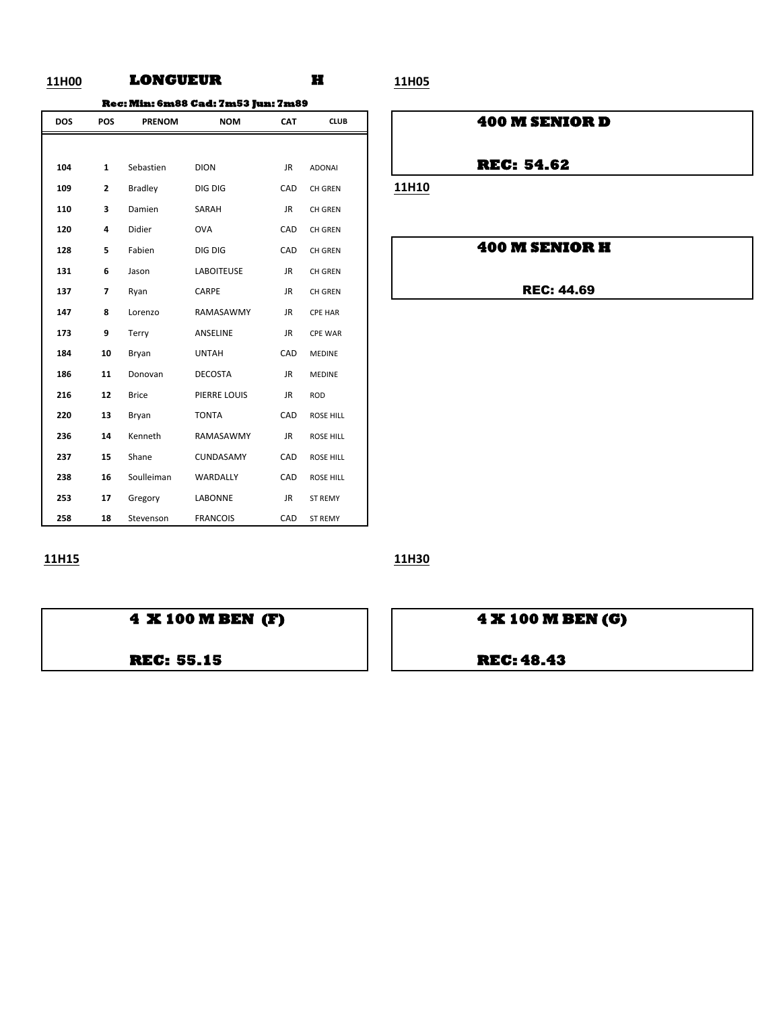### **11H00 H 11H05 LONGUEUR**

**Rec: Min: 6m88 Cad: 7m53 Jun: 7m89**

| <b>DOS</b> | POS            | <b>PRENOM</b>  | <b>NOM</b>        | <b>CAT</b> | <b>CLUB</b>      |
|------------|----------------|----------------|-------------------|------------|------------------|
|            |                |                |                   |            |                  |
| 104        | $\mathbf{1}$   | Sebastien      | <b>DION</b>       | <b>JR</b>  | <b>ADONAI</b>    |
| 109        | $\overline{2}$ | <b>Bradley</b> | DIG DIG           | CAD        | <b>CH GREN</b>   |
| 110        | 3              | Damien         | SARAH             | <b>JR</b>  | CH GREN          |
| 120        | 4              | Didier         | <b>OVA</b>        | CAD        | <b>CH GREN</b>   |
| 128        | 5              | Fabien         | DIG DIG           | CAD        | CH GREN          |
| 131        | 6              | Jason          | <b>LABOITEUSE</b> | <b>JR</b>  | <b>CH GREN</b>   |
| 137        | 7              | Ryan           | CARPE             | JR.        | <b>CH GREN</b>   |
| 147        | 8              | Lorenzo        | RAMASAWMY         | JR         | <b>CPE HAR</b>   |
| 173        | 9              | Terry          | ANSELINE          | JR.        | <b>CPE WAR</b>   |
| 184        | 10             | Bryan          | <b>UNTAH</b>      | CAD        | <b>MEDINE</b>    |
| 186        | 11             | Donovan        | <b>DECOSTA</b>    | <b>JR</b>  | <b>MEDINE</b>    |
| 216        | 12             | <b>Brice</b>   | PIERRE LOUIS      | JR.        | <b>ROD</b>       |
| 220        | 13             | Bryan          | <b>TONTA</b>      | CAD        | ROSE HILL        |
| 236        | 14             | Kenneth        | RAMASAWMY         | JR.        | <b>ROSE HILL</b> |
| 237        | 15             | Shane          | CUNDASAMY         | CAD        | <b>ROSE HILL</b> |
| 238        | 16             | Soulleiman     | <b>WARDALLY</b>   | CAD        | <b>ROSE HILL</b> |
| 253        | 17             | Gregory        | LABONNE           | JR.        | <b>ST REMY</b>   |
| 258        | 18             | Stevenson      | <b>FRANCOIS</b>   | CAD        | <b>ST REMY</b>   |

### **200 M SENIOR D**

**REC: 54.62** 

**11H10** 

### **100 M SENIOR H**

REC: 44.69

**11H15 11H30**



**REC: 55.15 REC: 48.43**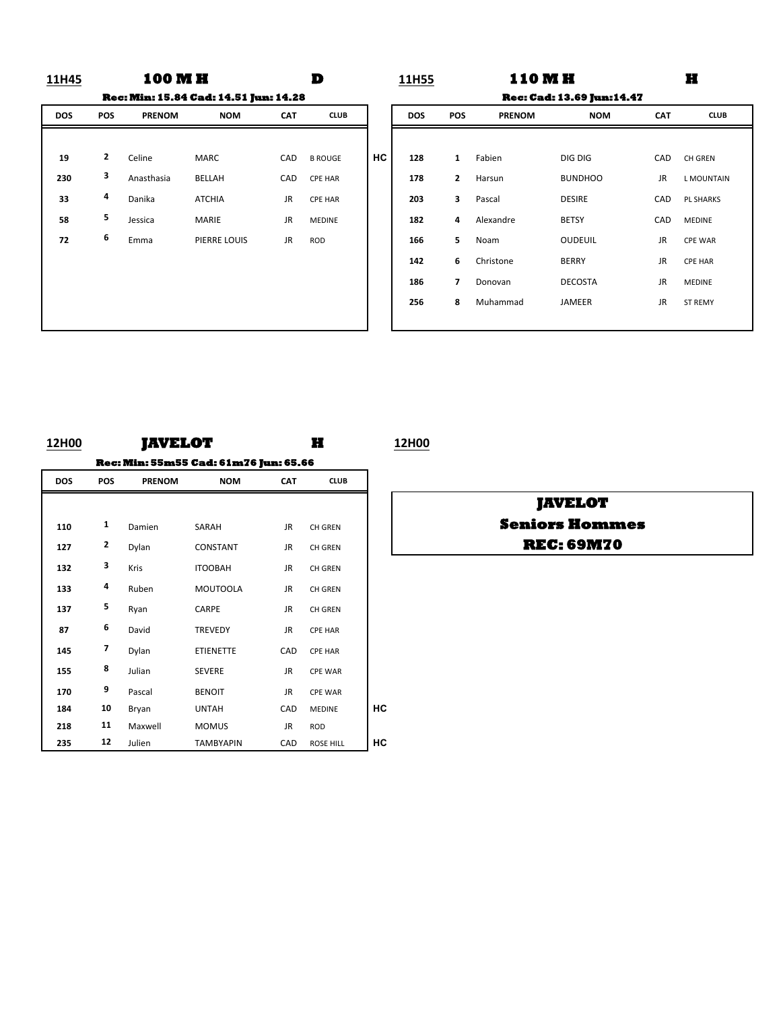### **11H45 D 11H55 H 100 M H D** 11H55 **110 M H Rec: Min: 15.84 Cad: 14.51 Jun: 14.28 Rec: Cad: 13.69 Jun:14.47**

| <b>DOS</b> | POS | <b>PRENOM</b> | <b>NOM</b>    | <b>CAT</b> | <b>CLUB</b>    |   |
|------------|-----|---------------|---------------|------------|----------------|---|
|            |     |               |               |            |                |   |
| 19         | 2   | Celine        | <b>MARC</b>   | CAD        | <b>B ROUGE</b> | Н |
| 230        | 3   | Anasthasia    | BELLAH        | CAD        | <b>CPE HAR</b> |   |
| 33         | 4   | Danika        | <b>ATCHIA</b> | JR         | <b>CPE HAR</b> |   |
| 58         | 5   | Jessica       | <b>MARIE</b>  | JR         | <b>MEDINE</b>  |   |
| 72         | 6   | Emma          | PIERRE LOUIS  | JR         | <b>ROD</b>     |   |
|            |     |               |               |            |                |   |
|            |     |               |               |            |                |   |
|            |     |               |               |            |                |   |
|            |     |               |               |            |                |   |

|            |              |               | <b>Rec: Min: 15.84 Cad: 14.51 Jun: 14.28</b> |            |                |           |            |                |               | <b>Rec: Cad: 13.69 Jun: 14.47</b> |            |                   |
|------------|--------------|---------------|----------------------------------------------|------------|----------------|-----------|------------|----------------|---------------|-----------------------------------|------------|-------------------|
| <b>DOS</b> | <b>POS</b>   | <b>PRENOM</b> | <b>NOM</b>                                   | <b>CAT</b> | <b>CLUB</b>    |           | <b>DOS</b> | <b>POS</b>     | <b>PRENOM</b> | <b>NOM</b>                        | <b>CAT</b> | <b>CLUB</b>       |
|            |              |               |                                              |            |                |           |            |                |               |                                   |            |                   |
| 19         | $\mathbf{2}$ | Celine        | <b>MARC</b>                                  | CAD        | <b>B ROUGE</b> | <b>HC</b> | 128        | $\mathbf{1}$   | Fabien        | DIG DIG                           | CAD        | CH GREN           |
| 230        | 3            | Anasthasia    | BELLAH                                       | CAD        | <b>CPE HAR</b> |           | 178        | $\mathbf{2}$   | Harsun        | <b>BUNDHOO</b>                    | JR         | <b>L MOUNTAIN</b> |
| 33         | 4            | Danika        | <b>ATCHIA</b>                                | <b>JR</b>  | <b>CPE HAR</b> |           | 203        | 3              | Pascal        | <b>DESIRE</b>                     | CAD        | <b>PL SHARKS</b>  |
| 58         | 5            | Jessica       | MARIE                                        | <b>JR</b>  | <b>MEDINE</b>  |           | 182        | 4              | Alexandre     | <b>BETSY</b>                      | CAD        | MEDINE            |
| 72         | 6            | Emma          | PIERRE LOUIS                                 | JR         | <b>ROD</b>     |           | 166        | 5              | Noam          | <b>OUDEUIL</b>                    | JR         | <b>CPE WAR</b>    |
|            |              |               |                                              |            |                |           | 142        | 6              | Christone     | <b>BERRY</b>                      | <b>JR</b>  | <b>CPE HAR</b>    |
|            |              |               |                                              |            |                |           | 186        | $\overline{ }$ | Donovan       | <b>DECOSTA</b>                    | <b>JR</b>  | <b>MEDINE</b>     |
|            |              |               |                                              |            |                |           | 256        | 8              | Muhammad      | JAMEER                            | JR         | <b>ST REMY</b>    |
|            |              |               |                                              |            |                |           |            |                |               |                                   |            |                   |

## **12H00 H 12H00 JAVELOT DOS POS PRENOM NOM CAT CLUB 110 1** Damien SARAH JR CHGREN 127 <sup>2</sup> Dylan CONSTANT JR CH GREN 132 <sup>3</sup> Kris ITOOBAH JR CHGREN 133 **4** Ruben MOUTOOLA JR CH GREN **137 5** Ryan **CARPE** JR CH GREN 87 **6** David **TREVEDY** JR CPE HAR **Rec: Min: 55m55 Cad: 61m76 Jun: 65.66**

145 7 Dylan ETIENETTE CAD CPE HAR **155 8** Julian **SEVERE JR** CPE WAR **170 9** Pascal **BENOIT** JR CPE WAR

**218 11** Maxwell MOMUS JR ROD

184 **10** Bryan UNTAH CAD MEDINE **HC** 

**235 12** Julien **TAMBYAPIN** CAD ROSE HILL **HC** 

**REC: 69M70 JAVELOT Seniors Hommes**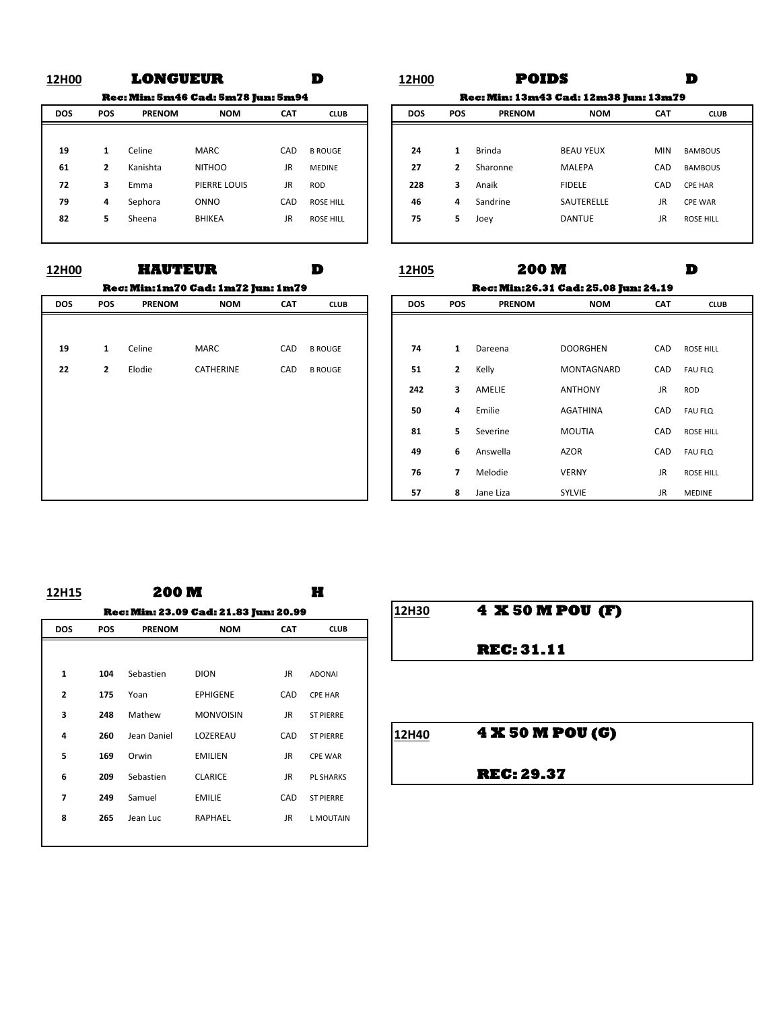**Rec: Min: 5m46 Cad: 5m78 Jun: 5m94**

|            |            |               | -             |            |                  |  |
|------------|------------|---------------|---------------|------------|------------------|--|
| <b>DOS</b> | <b>POS</b> | <b>PRENOM</b> | <b>NOM</b>    | <b>CAT</b> | <b>CLUB</b>      |  |
|            |            |               |               |            |                  |  |
| 19         | 1          | Celine        | <b>MARC</b>   | CAD        | <b>B ROUGE</b>   |  |
| 61         | 2          | Kanishta      | <b>NITHOO</b> | JR         | <b>MEDINE</b>    |  |
| 72         | 3          | Emma          | PIERRE LOUIS  | JR         | <b>ROD</b>       |  |
| 79         | 4          | Sephora       | ONNO          | CAD        | <b>ROSE HILL</b> |  |
| 82         | 5          | Sheena        | <b>BHIKEA</b> | JR         | <b>ROSE HILL</b> |  |
|            |            |               |               |            |                  |  |

|     |                |               | <b>Rec: Min:1m70 Cad: 1m72 Jun: 1m79</b> |            |                |
|-----|----------------|---------------|------------------------------------------|------------|----------------|
| DOS | <b>POS</b>     | <b>PRENOM</b> | <b>NOM</b>                               | <b>CAT</b> | <b>CLUB</b>    |
|     |                |               |                                          |            |                |
| 19  | $\mathbf{1}$   | Celine        | <b>MARC</b>                              | CAD        | <b>B ROUGE</b> |
| 22  | $\overline{2}$ | Elodie        | <b>CATHERINE</b>                         | CAD        | <b>B ROUGE</b> |
|     |                |               |                                          |            |                |
|     |                |               |                                          |            |                |
|     |                |               |                                          |            |                |
|     |                |               |                                          |            |                |
|     |                |               |                                          |            |                |
|     |                |               |                                          |            |                |

### **12H00 D 12H00 D LONGUEUR POIDS**

**Rec: Min: 13m43 Cad: 12m38 Jun: 13m79**

| <b>DOS</b> | <b>POS</b> | <b>PRENOM</b> | <b>NOM</b>    | <b>CAT</b> | <b>CLUB</b>      | <b>DOS</b> | <b>POS</b> | <b>PRENOM</b> | <b>NOM</b>       | <b>CAT</b> | <b>CLUB</b>      |
|------------|------------|---------------|---------------|------------|------------------|------------|------------|---------------|------------------|------------|------------------|
|            |            |               |               |            |                  |            |            |               |                  |            |                  |
| 19         |            | Celine        | <b>MARC</b>   | CAD        | <b>B ROUGE</b>   | 24         |            | Brinda        | <b>BEAU YEUX</b> | <b>MIN</b> | <b>BAMBOUS</b>   |
| 61         |            | Kanishta      | <b>NITHOO</b> | JR.        | MEDINE           | 27         |            | Sharonne      | MALEPA           | CAD        | BAMBOUS          |
| 72         | 3          | Emma          | PIERRE LOUIS  | JR         | <b>ROD</b>       | 228        | З.         | Anaik         | <b>FIDELE</b>    | CAD        | <b>CPE HAR</b>   |
| 79         | 4          | Sephora       | <b>ONNO</b>   | CAD        | <b>ROSE HILL</b> | 46         | 4          | Sandrine      | SAUTERELLE       | JR         | <b>CPE WAR</b>   |
| 82         | 5.         | Sheena        | <b>BHIKEA</b> | JR         | <b>ROSE HILL</b> | 75         |            | Joey          | <b>DANTUE</b>    | JR         | <b>ROSE HILL</b> |
|            |            |               |               |            |                  |            |            |               |                  |            |                  |

### **12H00 D 12H05 D HAUTEUR Rec: Min:26.31 Cad: 25.08 Jun: 24.19 200 M**

| DOS | <b>POS</b>   | <b>PRENOM</b> | <b>NOM</b>  | <b>CAT</b> | <b>CLUB</b>    |
|-----|--------------|---------------|-------------|------------|----------------|
|     |              |               |             |            |                |
| 19  | $\mathbf{1}$ | Celine        | <b>MARC</b> | CAD        | <b>B ROUGE</b> |
| 22  | $\mathbf{2}$ | Elodie        | CATHERINE   | CAD        | <b>B ROUGE</b> |
|     |              |               |             |            |                |
|     |              |               |             |            |                |
|     |              |               |             |            |                |
|     |              |               |             |            |                |
|     |              |               |             |            |                |
|     |              |               |             |            |                |

# **12H15 H 200 M DOS POS PRENOM NOM CAT CLUB** 1 **104** Sebastien DION JR ADONAI **2 175** Yoan **EPHIGENE** CAD CPE HAR **3 248** Mathew **MONVOISIN** JR ST PIERRE **4 260** Jean Daniel LOZEREAU CAD ST<sup>PIERRE</sup> 12H40 **4 X 50 M POU (G) 5 169** Orwin **EMILIEN** JR CPE WAR **6 209** Sebastien **CLARICE** JR PL SHARKS **7 249** Samuel **EMILIE CAD** ST PIERRE 8 **265** Jean Luc RAPHAEL JR LMOUTAIN **Rec: Min: 23.09 Cad: 21.83 Jun: 20.99**

| 4 X 50 M POU (F)  |
|-------------------|
| <b>REC: 31.11</b> |
|                   |
| 4 X 50 M POU (G)  |
| <b>REC: 29.37</b> |
|                   |